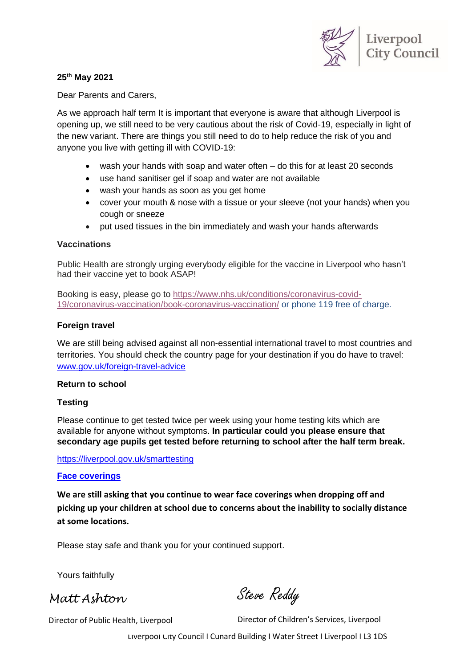

### **25th May 2021**

Dear Parents and Carers,

As we approach half term It is important that everyone is aware that although Liverpool is opening up, we still need to be very cautious about the risk of Covid-19, especially in light of the new variant. There are things you still need to do to help reduce the risk of you and anyone you live with getting ill with COVID-19:

- wash your hands with soap and water often do this for at least 20 seconds
- use hand sanitiser gel if soap and water are not available
- wash your hands as soon as you get home
- cover your mouth & nose with a tissue or your sleeve (not your hands) when you cough or sneeze
- put used tissues in the bin immediately and wash your hands afterwards

#### **Vaccinations**

Public Health are strongly urging everybody eligible for the vaccine in Liverpool who hasn't had their vaccine yet to book ASAP!

Booking is easy, please go to [https://www.nhs.uk/conditions/coronavirus-covid-](https://www.nhs.uk/conditions/coronavirus-covid-19/coronavirus-vaccination/book-coronavirus-vaccination/)[19/coronavirus-vaccination/book-coronavirus-vaccination/](https://www.nhs.uk/conditions/coronavirus-covid-19/coronavirus-vaccination/book-coronavirus-vaccination/) or phone 119 free of charge.

### **Foreign travel**

We are still being advised against all non-essential international travel to most countries and territories. You should [check the country page](https://www.gov.uk/foreign-travel-advice) for your destination if you do have to travel: [www.gov.uk/foreign-travel-advice](http://www.gov.uk/foreign-travel-advice)

### **Return to school**

### **Testing**

Please continue to get tested twice per week using your home testing kits which are available for anyone without symptoms. **In particular could you please ensure that secondary age pupils get tested before returning to school after the half term break.**

<https://liverpool.gov.uk/smarttesting>

### **Face coverings**

**We are still asking that you continue to wear face coverings when dropping off and picking up your children at school due to concerns about the inability to socially distance at some locations.**

Please stay safe and thank you for your continued support.

Yours faithfully

*Matt Ashton*

Steve Reddy

Director of Public Health, Liverpool

Director of Children's Services, Liverpool

Liverpool City Council I Cunard Building I Water Street I Liverpool I L3 1DS